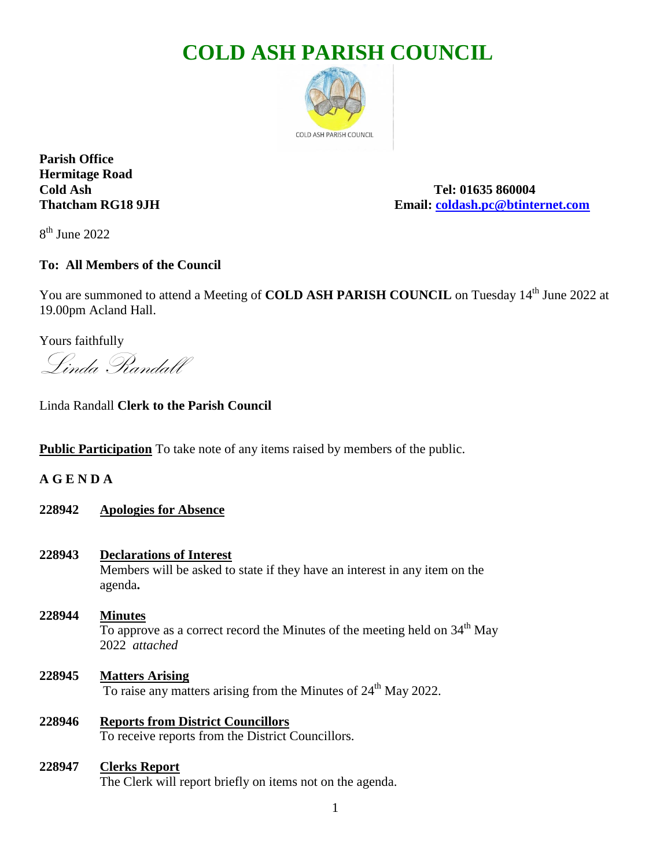# **COLD ASH PARISH COUNCIL**



**Parish Office Hermitage Road**

**Cold Ash Tel: 01635 860004 Thatcham RG18 9JH Email: [coldash.pc@btinternet.com](mailto:coldash.pc@btinternet.com)**

8 th June 2022

# **To: All Members of the Council**

You are summoned to attend a Meeting of **COLD ASH PARISH COUNCIL** on Tuesday 14<sup>th</sup> June 2022 at 19.00pm Acland Hall.

Yours faithfully

Linda Randall

Linda Randall **Clerk to the Parish Council**

**Public Participation** To take note of any items raised by members of the public.

**A G E N D A**

- **228942 Apologies for Absence**
- **228943 Declarations of Interest**

Members will be asked to state if they have an interest in any item on the agenda**.**

- **228944 Minutes**  To approve as a correct record the Minutes of the meeting held on 34<sup>th</sup> May 2022 *attached*
- **228945 Matters Arising** To raise any matters arising from the Minutes of 24<sup>th</sup> May 2022.
- **228946 Reports from District Councillors** To receive reports from the District Councillors.

### **228947 Clerks Report**

The Clerk will report briefly on items not on the agenda.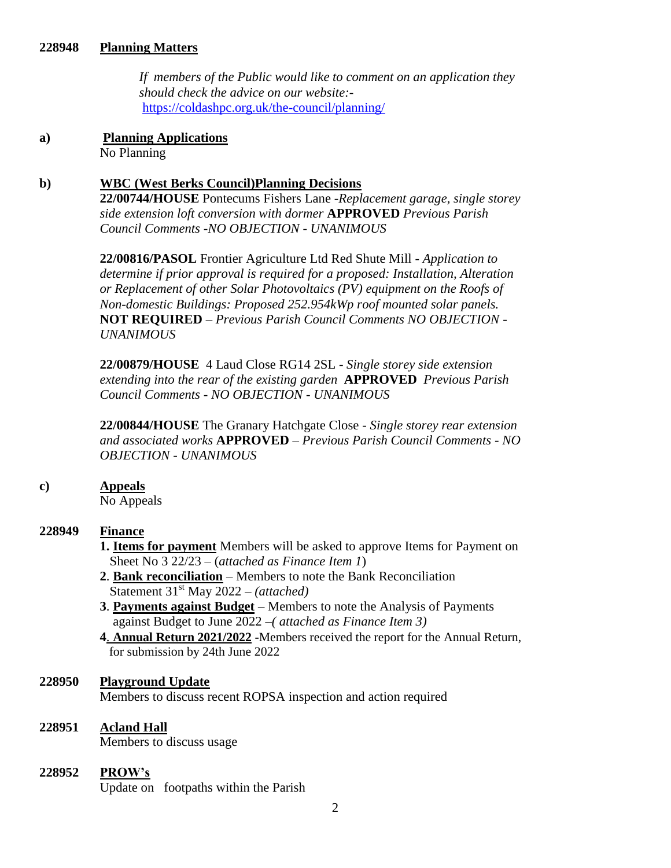#### **228948 Planning Matters**

 *If members of the Public would like to comment on an application they should check the advice on our website:* <https://coldashpc.org.uk/the-council/planning/>

### **a) Planning Applications** No Planning

#### **b) WBC (West Berks Council)Planning Decisions**

**22/00744/HOUSE** Pontecums Fishers Lane -*Replacement garage, single storey side extension loft conversion with dormer* **APPROVED** *Previous Parish Council Comments -NO OBJECTION - UNANIMOUS*

**22/00816/PASOL** Frontier Agriculture Ltd Red Shute Mill *- Application to determine if prior approval is required for a proposed: Installation, Alteration or Replacement of other Solar Photovoltaics (PV) equipment on the Roofs of Non-domestic Buildings: Proposed 252.954kWp roof mounted solar panels.* **NOT REQUIRED** *– Previous Parish Council Comments NO OBJECTION - UNANIMOUS*

**22/00879/HOUSE** 4 Laud Close RG14 2SL - *Single storey side extension extending into the rear of the existing garden* **APPROVED** *Previous Parish Council Comments - NO OBJECTION - UNANIMOUS*

**22/00844/HOUSE** The Granary Hatchgate Close - *Single storey rear extension and associated works* **APPROVED** – *Previous Parish Council Comments - NO OBJECTION - UNANIMOUS*

#### **c) Appeals**

No Appeals

## **228949 Finance**

- **1. Items for payment** Members will be asked to approve Items for Payment on Sheet No 3 22/23 – (*attached as Finance Item 1*)
- **2**. **Bank reconciliation** Members to note the Bank Reconciliation Statement 31st May 2022 – *(attached)*
- **3**. **Payments against Budget** Members to note the Analysis of Payments against Budget to June 2022 *–( attached as Finance Item 3)*
- **4**. **Annual Return 2021/2022 -**Members received the report for the Annual Return, for submission by 24th June 2022

#### **228950 Playground Update**

Members to discuss recent ROPSA inspection and action required

#### **228951 Acland Hall**

Members to discuss usage

#### **228952 PROW's**

Update on footpaths within the Parish